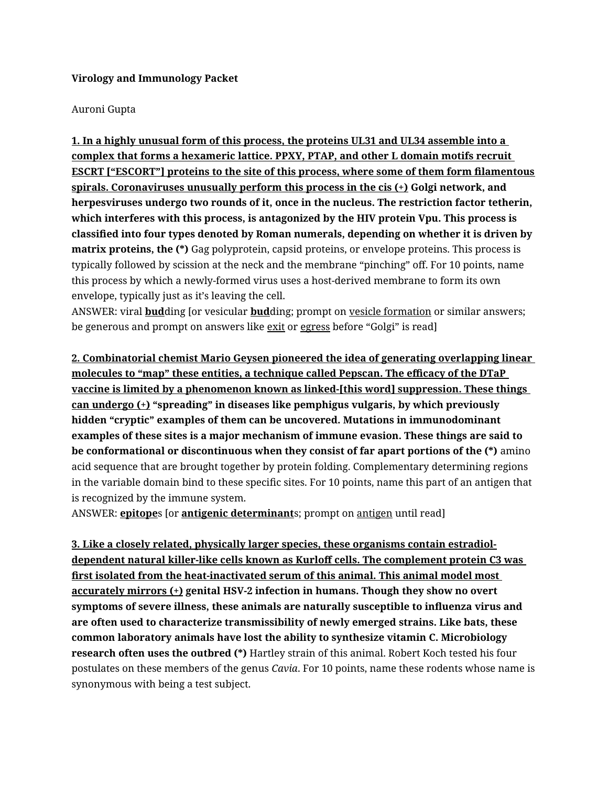## **Virology and Immunology Packet**

## Auroni Gupta

**1. In a highly unusual form of this process, the proteins UL31 and UL34 assemble into a complex that forms a hexameric lattice. PPXY, PTAP, and other L domain motifs recruit ESCRT ["ESCORT"] proteins to the site of this process, where some of them form filamentous spirals. Coronaviruses unusually perform this process in the cis (+) Golgi network, and herpesviruses undergo two rounds of it, once in the nucleus. The restriction factor tetherin, which interferes with this process, is antagonized by the HIV protein Vpu. This process is classified into four types denoted by Roman numerals, depending on whether it is driven by matrix proteins, the (\*)** Gag polyprotein, capsid proteins, or envelope proteins. This process is typically followed by scission at the neck and the membrane "pinching" off. For 10 points, name this process by which a newly-formed virus uses a host-derived membrane to form its own envelope, typically just as it's leaving the cell.

ANSWER: viral **bud**ding [or vesicular **bud**ding; prompt on vesicle formation or similar answers; be generous and prompt on answers like exit or egress before "Golgi" is read]

**2. Combinatorial chemist Mario Geysen pioneered the idea of generating overlapping linear molecules to "map" these entities, a technique called Pepscan. The efficacy of the DTaP vaccine is limited by a phenomenon known as linked-[this word] suppression. These things can undergo (+) "spreading" in diseases like pemphigus vulgaris, by which previously hidden "cryptic" examples of them can be uncovered. Mutations in immunodominant examples of these sites is a major mechanism of immune evasion. These things are said to be conformational or discontinuous when they consist of far apart portions of the (\*)** amino acid sequence that are brought together by protein folding. Complementary determining regions in the variable domain bind to these specific sites. For 10 points, name this part of an antigen that is recognized by the immune system.

ANSWER: **epitope**s [or **antigenic determinant**s; prompt on antigen until read]

**3. Like a closely related, physically larger species, these organisms contain estradioldependent natural killer-like cells known as Kurloff cells. The complement protein C3 was first isolated from the heat-inactivated serum of this animal. This animal model most accurately mirrors (+) genital HSV-2 infection in humans. Though they show no overt symptoms of severe illness, these animals are naturally susceptible to influenza virus and are often used to characterize transmissibility of newly emerged strains. Like bats, these common laboratory animals have lost the ability to synthesize vitamin C. Microbiology research often uses the outbred (\*)** Hartley strain of this animal. Robert Koch tested his four postulates on these members of the genus *Cavia*. For 10 points, name these rodents whose name is synonymous with being a test subject.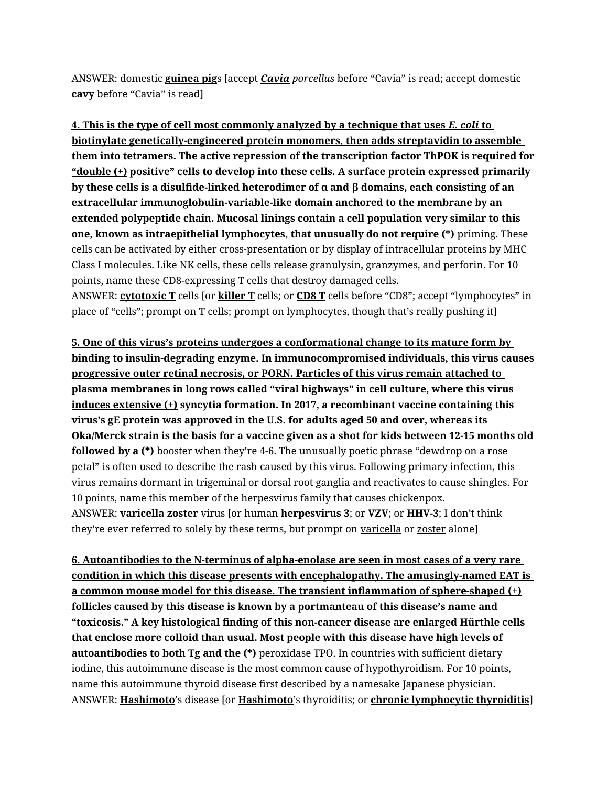ANSWER: domestic **guinea pig**s [accept *Cavia porcellus* before "Cavia" is read; accept domestic **cavy** before "Cavia" is read]

 **4. This is the type of cell most commonly analyzed by a technique that uses** *E. coli* **to biotinylate genetically-engineered protein monomers, then adds streptavidin to assemble them into tetramers. The active repression of the transcription factor ThPOK is required for "double (+) positive" cells to develop into these cells. A surface protein expressed primarily by these cells is a disulfide-linked heterodimer of α and β domains, each consisting of an extracellular immunoglobulin-variable-like domain anchored to the membrane by an extended polypeptide chain. Mucosal linings contain a cell population very similar to this one, known as intraepithelial lymphocytes, that unusually do not require (\*)** priming. These cells can be activated by either cross-presentation or by display of intracellular proteins by MHC Class I molecules. Like NK cells, these cells release granulysin, granzymes, and perforin. For 10 points, name these CD8-expressing T cells that destroy damaged cells. ANSWER: **cytotoxic T** cells [or **killer T** cells; or **CD8 T** cells before "CD8"; accept "lymphocytes" in

place of "cells"; prompt on  $\underline{T}$  cells; prompt on lymphocytes, though that's really pushing it]

**5. One of this virus's proteins undergoes a conformational change to its mature form by binding to insulin-degrading enzyme. In immunocompromised individuals, this virus causes progressive outer retinal necrosis, or PORN. Particles of this virus remain attached to plasma membranes in long rows called "viral highways" in cell culture, where this virus induces extensive (+) syncytia formation. In 2017, a recombinant vaccine containing this virus's gE protein was approved in the U.S. for adults aged 50 and over, whereas its Oka/Merck strain is the basis for a vaccine given as a shot for kids between 12-15 months old followed by a (\*)** booster when they're 4-6. The unusually poetic phrase "dewdrop on a rose petal" is often used to describe the rash caused by this virus. Following primary infection, this virus remains dormant in trigeminal or dorsal root ganglia and reactivates to cause shingles. For 10 points, name this member of the herpesvirus family that causes chickenpox. ANSWER: **varicella zoster** virus [or human **herpesvirus 3**; or **VZV**; or **HHV-3**; I don't think they're ever referred to solely by these terms, but prompt on varicella or zoster alone]

**6. Autoantibodies to the N-terminus of alpha-enolase are seen in most cases of a very rare condition in which this disease presents with encephalopathy. The amusingly-named EAT is a common mouse model for this disease. The transient inflammation of sphere-shaped (+) follicles caused by this disease is known by a portmanteau of this disease's name and "toxicosis." A key histological finding of this non-cancer disease are enlarged Hürthle cells that enclose more colloid than usual. Most people with this disease have high levels of autoantibodies to both Tg and the (\*)** peroxidase TPO. In countries with sufficient dietary iodine, this autoimmune disease is the most common cause of hypothyroidism. For 10 points, name this autoimmune thyroid disease first described by a namesake Japanese physician. ANSWER: **Hashimoto**'s disease [or **Hashimoto**'s thyroiditis; or **chronic lymphocytic thyroiditis**]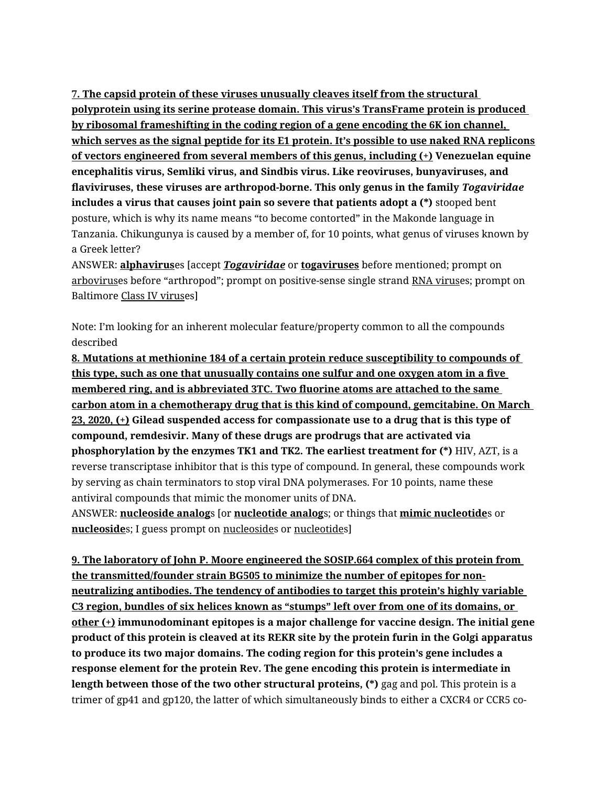**7. The capsid protein of these viruses unusually cleaves itself from the structural polyprotein using its serine protease domain. This virus's TransFrame protein is produced by ribosomal frameshifting in the coding region of a gene encoding the 6K ion channel, which serves as the signal peptide for its E1 protein. It's possible to use naked RNA replicons of vectors engineered from several members of this genus, including (+) Venezuelan equine encephalitis virus, Semliki virus, and Sindbis virus. Like reoviruses, bunyaviruses, and flaviviruses, these viruses are arthropod-borne. This only genus in the family** *Togaviridae* **includes a virus that causes joint pain so severe that patients adopt a (\*)** stooped bent posture, which is why its name means "to become contorted" in the Makonde language in Tanzania. Chikungunya is caused by a member of, for 10 points, what genus of viruses known by a Greek letter?

ANSWER: **alphavirus**es [accept *Togaviridae* or **togaviruses** before mentioned; prompt on arboviruses before "arthropod"; prompt on positive-sense single strand RNA viruses; prompt on Baltimore Class IV viruses]

Note: I'm looking for an inherent molecular feature/property common to all the compounds described

**8. Mutations at methionine 184 of a certain protein reduce susceptibility to compounds of this type, such as one that unusually contains one sulfur and one oxygen atom in a five membered ring, and is abbreviated 3TC. Two fluorine atoms are attached to the same carbon atom in a chemotherapy drug that is this kind of compound, gemcitabine. On March 23, 2020, (+) Gilead suspended access for compassionate use to a drug that is this type of compound, remdesivir. Many of these drugs are prodrugs that are activated via phosphorylation by the enzymes TK1 and TK2. The earliest treatment for (\*)** HIV, AZT, is a reverse transcriptase inhibitor that is this type of compound. In general, these compounds work by serving as chain terminators to stop viral DNA polymerases. For 10 points, name these antiviral compounds that mimic the monomer units of DNA.

ANSWER: **nucleoside analog**s [or **nucleotide analog**s; or things that **mimic nucleotide**s or **nucleoside**s; I guess prompt on nucleosides or nucleotides]

**9. The laboratory of John P. Moore engineered the SOSIP.664 complex of this protein from the transmitted/founder strain BG505 to minimize the number of epitopes for nonneutralizing antibodies. The tendency of antibodies to target this protein's highly variable C3 region, bundles of six helices known as "stumps" left over from one of its domains, or other (+) immunodominant epitopes is a major challenge for vaccine design. The initial gene product of this protein is cleaved at its REKR site by the protein furin in the Golgi apparatus to produce its two major domains. The coding region for this protein's gene includes a response element for the protein Rev. The gene encoding this protein is intermediate in length between those of the two other structural proteins, (\*)** gag and pol. This protein is a trimer of gp41 and gp120, the latter of which simultaneously binds to either a CXCR4 or CCR5 co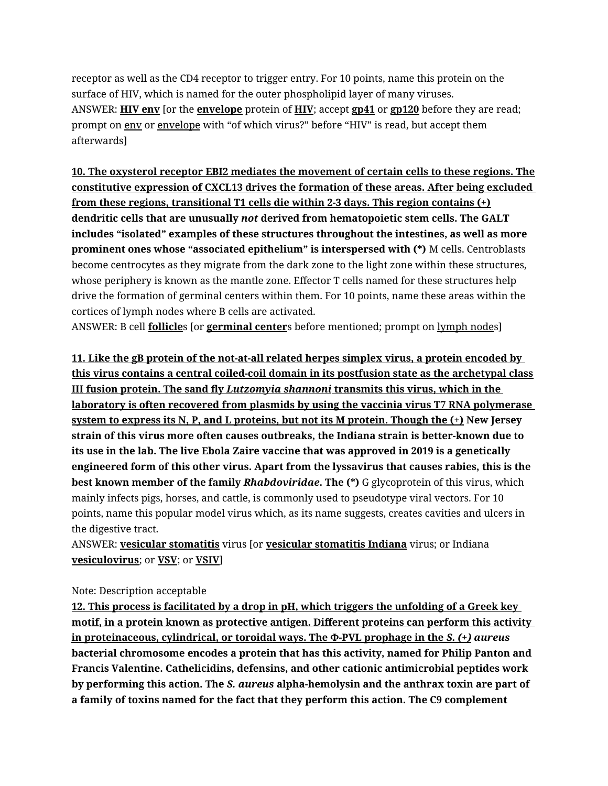receptor as well as the CD4 receptor to trigger entry. For 10 points, name this protein on the surface of HIV, which is named for the outer phospholipid layer of many viruses. ANSWER: **HIV env** [or the **envelope** protein of **HIV**; accept **gp41** or **gp120** before they are read; prompt on env or envelope with "of which virus?" before "HIV" is read, but accept them afterwards]

**10. The oxysterol receptor EBI2 mediates the movement of certain cells to these regions. The constitutive expression of CXCL13 drives the formation of these areas. After being excluded from these regions, transitional T1 cells die within 2-3 days. This region contains (+) dendritic cells that are unusually** *not* **derived from hematopoietic stem cells. The GALT includes "isolated" examples of these structures throughout the intestines, as well as more prominent ones whose "associated epithelium" is interspersed with (\*)** M cells. Centroblasts become centrocytes as they migrate from the dark zone to the light zone within these structures, whose periphery is known as the mantle zone. Effector T cells named for these structures help drive the formation of germinal centers within them. For 10 points, name these areas within the cortices of lymph nodes where B cells are activated.

ANSWER: B cell **follicle**s [or **germinal center**s before mentioned; prompt on lymph nodes]

**11. Like the gB protein of the not-at-all related herpes simplex virus, a protein encoded by this virus contains a central coiled-coil domain in its postfusion state as the archetypal class III fusion protein. The sand fly** *Lutzomyia shannoni* **transmits this virus, which in the laboratory is often recovered from plasmids by using the vaccinia virus T7 RNA polymerase system to express its N, P, and L proteins, but not its M protein. Though the (+) New Jersey strain of this virus more often causes outbreaks, the Indiana strain is better-known due to its use in the lab. The live Ebola Zaire vaccine that was approved in 2019 is a genetically engineered form of this other virus. Apart from the lyssavirus that causes rabies, this is the best known member of the family** *Rhabdoviridae***. The (\*)** G glycoprotein of this virus, which mainly infects pigs, horses, and cattle, is commonly used to pseudotype viral vectors. For 10 points, name this popular model virus which, as its name suggests, creates cavities and ulcers in the digestive tract.

ANSWER: **vesicular stomatitis** virus [or **vesicular stomatitis Indiana** virus; or Indiana **vesiculovirus**; or **VSV**; or **VSIV**]

## Note: Description acceptable

**12. This process is facilitated by a drop in pH, which triggers the unfolding of a Greek key motif, in a protein known as protective antigen. Different proteins can perform this activity in proteinaceous, cylindrical, or toroidal ways. The Φ-PVL prophage in the** *S. (+) aureus* **bacterial chromosome encodes a protein that has this activity, named for Philip Panton and Francis Valentine. Cathelicidins, defensins, and other cationic antimicrobial peptides work by performing this action. The** *S. aureus* **alpha-hemolysin and the anthrax toxin are part of a family of toxins named for the fact that they perform this action. The C9 complement**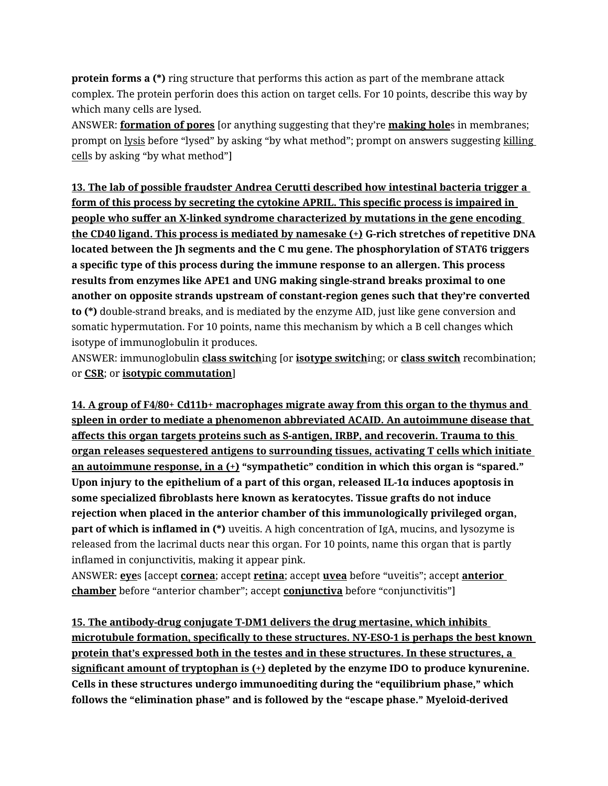**protein forms a (\*)** ring structure that performs this action as part of the membrane attack complex. The protein perforin does this action on target cells. For 10 points, describe this way by which many cells are lysed.

ANSWER: **formation of pores** [or anything suggesting that they're **making hole**s in membranes; prompt on lysis before "lysed" by asking "by what method"; prompt on answers suggesting killing cells by asking "by what method"]

**13. The lab of possible fraudster Andrea Cerutti described how intestinal bacteria trigger a form of this process by secreting the cytokine APRIL. This specific process is impaired in people who suffer an X-linked syndrome characterized by mutations in the gene encoding the CD40 ligand. This process is mediated by namesake (+) G-rich stretches of repetitive DNA located between the Jh segments and the C mu gene. The phosphorylation of STAT6 triggers a specific type of this process during the immune response to an allergen. This process results from enzymes like APE1 and UNG making single-strand breaks proximal to one another on opposite strands upstream of constant-region genes such that they're converted to (\*)** double-strand breaks, and is mediated by the enzyme AID, just like gene conversion and somatic hypermutation. For 10 points, name this mechanism by which a B cell changes which isotype of immunoglobulin it produces.

ANSWER: immunoglobulin **class switch**ing [or **isotype switch**ing; or **class switch** recombination; or **CSR**; or **isotypic commutation**]

**14. A group of F4/80+ Cd11b+ macrophages migrate away from this organ to the thymus and spleen in order to mediate a phenomenon abbreviated ACAID. An autoimmune disease that affects this organ targets proteins such as S-antigen, IRBP, and recoverin. Trauma to this organ releases sequestered antigens to surrounding tissues, activating T cells which initiate an autoimmune response, in a (+) "sympathetic" condition in which this organ is "spared." Upon injury to the epithelium of a part of this organ, released IL-1α induces apoptosis in some specialized fibroblasts here known as keratocytes. Tissue grafts do not induce rejection when placed in the anterior chamber of this immunologically privileged organ, part of which is inflamed in (\*)** uveitis. A high concentration of IgA, mucins, and lysozyme is released from the lacrimal ducts near this organ. For 10 points, name this organ that is partly inflamed in conjunctivitis, making it appear pink.

ANSWER: **eye**s [accept **cornea**; accept **retina**; accept **uvea** before "uveitis"; accept **anterior chamber** before "anterior chamber"; accept **conjunctiva** before "conjunctivitis"]

**15. The antibody-drug conjugate T-DM1 delivers the drug mertasine, which inhibits microtubule formation, specifically to these structures. NY-ESO-1 is perhaps the best known protein that's expressed both in the testes and in these structures. In these structures, a significant amount of tryptophan is (+) depleted by the enzyme IDO to produce kynurenine. Cells in these structures undergo immunoediting during the "equilibrium phase," which follows the "elimination phase" and is followed by the "escape phase." Myeloid-derived**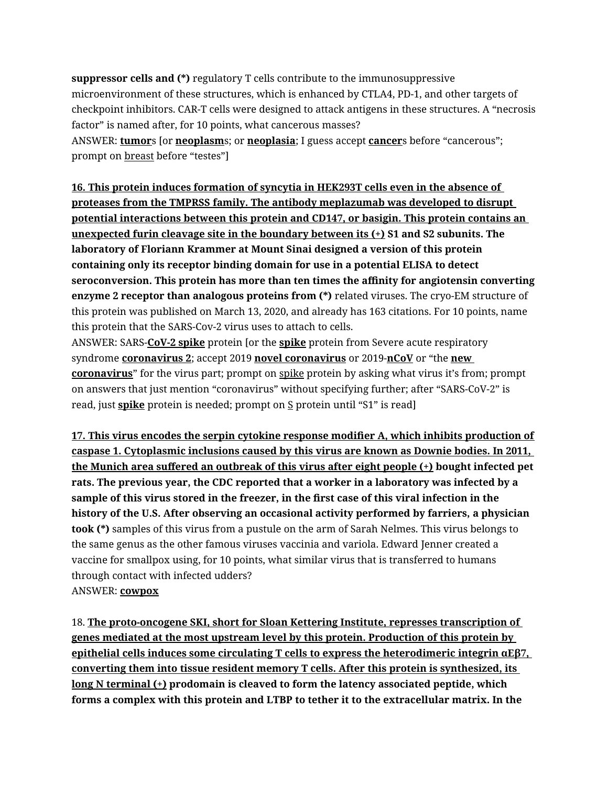**suppressor cells and (\*)** regulatory T cells contribute to the immunosuppressive microenvironment of these structures, which is enhanced by CTLA4, PD-1, and other targets of checkpoint inhibitors. CAR-T cells were designed to attack antigens in these structures. A "necrosis factor" is named after, for 10 points, what cancerous masses?

ANSWER: **tumor**s [or **neoplasm**s; or **neoplasia**; I guess accept **cancer**s before "cancerous"; prompt on breast before "testes"]

**16. This protein induces formation of syncytia in HEK293T cells even in the absence of proteases from the TMPRSS family. The antibody meplazumab was developed to disrupt potential interactions between this protein and CD147, or basigin. This protein contains an unexpected furin cleavage site in the boundary between its (+) S1 and S2 subunits. The laboratory of Floriann Krammer at Mount Sinai designed a version of this protein containing only its receptor binding domain for use in a potential ELISA to detect seroconversion. This protein has more than ten times the affinity for angiotensin converting enzyme 2 receptor than analogous proteins from (\*)** related viruses. The cryo-EM structure of this protein was published on March 13, 2020, and already has 163 citations. For 10 points, name this protein that the SARS-Cov-2 virus uses to attach to cells.

ANSWER: SARS-**CoV-2 spike** protein [or the **spike** protein from Severe acute respiratory syndrome **coronavirus 2**; accept 2019 **novel coronavirus** or 2019-**nCoV** or "the **new coronavirus**" for the virus part; prompt on spike protein by asking what virus it's from; prompt on answers that just mention "coronavirus" without specifying further; after "SARS-CoV-2" is read, just **spike** protein is needed; prompt on S protein until "S1" is read]

**17. This virus encodes the serpin cytokine response modifier A, which inhibits production of caspase 1. Cytoplasmic inclusions caused by this virus are known as Downie bodies. In 2011, the Munich area suffered an outbreak of this virus after eight people (+) bought infected pet rats. The previous year, the CDC reported that a worker in a laboratory was infected by a sample of this virus stored in the freezer, in the first case of this viral infection in the history of the U.S. After observing an occasional activity performed by farriers, a physician took (\*)** samples of this virus from a pustule on the arm of Sarah Nelmes. This virus belongs to the same genus as the other famous viruses vaccinia and variola. Edward Jenner created a vaccine for smallpox using, for 10 points, what similar virus that is transferred to humans through contact with infected udders? ANSWER: **cowpox**

18. **The proto-oncogene SKI, short for Sloan Kettering Institute, represses transcription of genes mediated at the most upstream level by this protein. Production of this protein by epithelial cells induces some circulating T cells to express the heterodimeric integrin αEβ7, converting them into tissue resident memory T cells. After this protein is synthesized, its long N terminal (+) prodomain is cleaved to form the latency associated peptide, which forms a complex with this protein and LTBP to tether it to the extracellular matrix. In the**